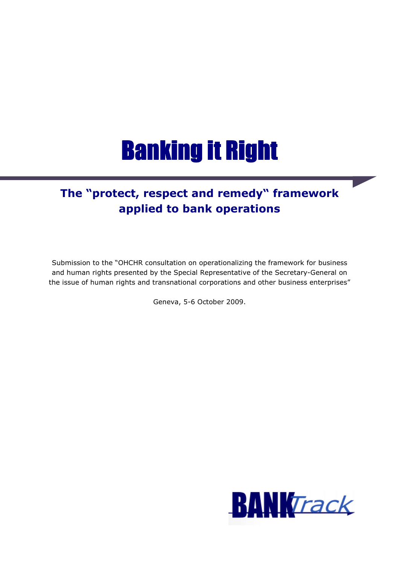# **Banking it Right**

# **The "protect, respect and remedy" framework applied to bank operations**

Submission to the "OHCHR consultation on operationalizing the framework for business and human rights presented by the Special Representative of the Secretary-General on the issue of human rights and transnational corporations and other business enterprises"

Geneva, 5-6 October 2009.

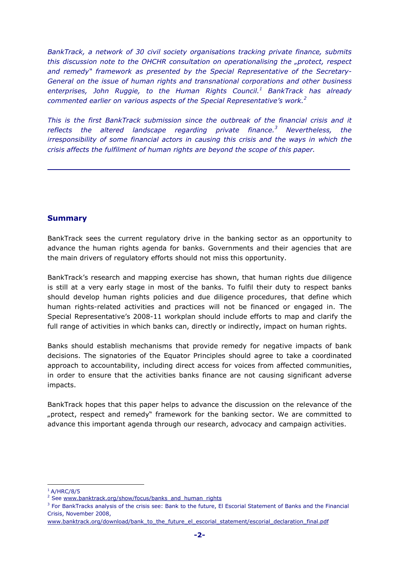*BankTrack, a network of 30 civil society organisations tracking private finance, submits this discussion note to the OHCHR consultation on operationalising the "protect, respect and remedy" framework as presented by the Special Representative of the Secretary-General on the issue of human rights and transnational corporations and other business enterprises, John Ruggie, to the Human Rights Council.<sup>1</sup> BankTrack has already commented earlier on various aspects of the Special Representative's work.<sup>2</sup>*

*This is the first BankTrack submission since the outbreak of the financial crisis and it reflects the altered landscape regarding private finance.<sup>3</sup> Nevertheless, the irresponsibility of some financial actors in causing this crisis and the ways in which the crisis affects the fulfilment of human rights are beyond the scope of this paper.* 

## **Summary**

BankTrack sees the current regulatory drive in the banking sector as an opportunity to advance the human rights agenda for banks. Governments and their agencies that are the main drivers of regulatory efforts should not miss this opportunity.

BankTrack's research and mapping exercise has shown, that human rights due diligence is still at a very early stage in most of the banks. To fulfil their duty to respect banks should develop human rights policies and due diligence procedures, that define which human rights-related activities and practices will not be financed or engaged in. The Special Representative's 2008-11 workplan should include efforts to map and clarify the full range of activities in which banks can, directly or indirectly, impact on human rights.

Banks should establish mechanisms that provide remedy for negative impacts of bank decisions. The signatories of the Equator Principles should agree to take a coordinated approach to accountability, including direct access for voices from affected communities, in order to ensure that the activities banks finance are not causing significant adverse impacts.

BankTrack hopes that this paper helps to advance the discussion on the relevance of the "protect, respect and remedy" framework for the banking sector. We are committed to advance this important agenda through our research, advocacy and campaign activities.

l  $1$  A/HRC/8/5

<sup>&</sup>lt;sup>2</sup> See www.banktrack.org/show/focus/banks\_and\_human\_rights

<sup>&</sup>lt;sup>3</sup> For BankTracks analysis of the crisis see: Bank to the future, El Escorial Statement of Banks and the Financial Crisis, November 2008,

www.banktrack.org/download/bank\_to\_the\_future\_el\_escorial\_statement/escorial\_declaration\_final.pdf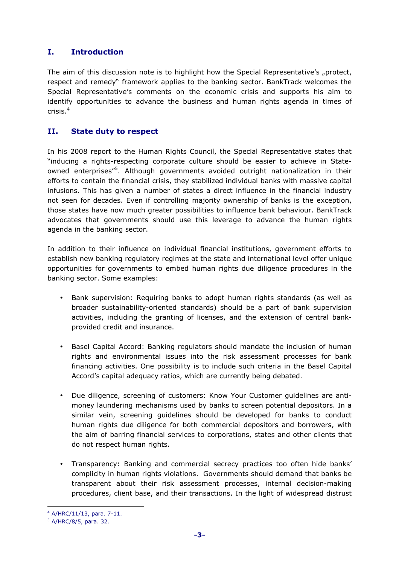# **I. Introduction**

The aim of this discussion note is to highlight how the Special Representative's "protect, respect and remedy" framework applies to the banking sector. BankTrack welcomes the Special Representative's comments on the economic crisis and supports his aim to identify opportunities to advance the business and human rights agenda in times of crisis.<sup>4</sup>

# **II. State duty to respect**

In his 2008 report to the Human Rights Council, the Special Representative states that "inducing a rights-respecting corporate culture should be easier to achieve in Stateowned enterprises"<sup>5</sup>. Although governments avoided outright nationalization in their efforts to contain the financial crisis, they stabilized individual banks with massive capital infusions. This has given a number of states a direct influence in the financial industry not seen for decades. Even if controlling majority ownership of banks is the exception, those states have now much greater possibilities to influence bank behaviour. BankTrack advocates that governments should use this leverage to advance the human rights agenda in the banking sector.

In addition to their influence on individual financial institutions, government efforts to establish new banking regulatory regimes at the state and international level offer unique opportunities for governments to embed human rights due diligence procedures in the banking sector. Some examples:

- Bank supervision: Requiring banks to adopt human rights standards (as well as broader sustainability-oriented standards) should be a part of bank supervision activities, including the granting of licenses, and the extension of central bankprovided credit and insurance.
- Basel Capital Accord: Banking regulators should mandate the inclusion of human rights and environmental issues into the risk assessment processes for bank financing activities. One possibility is to include such criteria in the Basel Capital Accord's capital adequacy ratios, which are currently being debated.
- Due diligence, screening of customers: Know Your Customer guidelines are antimoney laundering mechanisms used by banks to screen potential depositors. In a similar vein, screening guidelines should be developed for banks to conduct human rights due diligence for both commercial depositors and borrowers, with the aim of barring financial services to corporations, states and other clients that do not respect human rights.
- Transparency: Banking and commercial secrecy practices too often hide banks' complicity in human rights violations. Governments should demand that banks be transparent about their risk assessment processes, internal decision-making procedures, client base, and their transactions. In the light of widespread distrust

 $\overline{a}$ 4 A/HRC/11/13, para. 7-11.

<sup>5</sup> A/HRC/8/5, para. 32.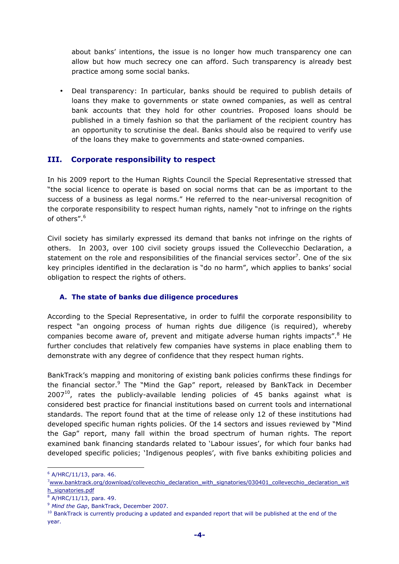about banks' intentions, the issue is no longer how much transparency one can allow but how much secrecy one can afford. Such transparency is already best practice among some social banks.

• Deal transparency: In particular, banks should be required to publish details of loans they make to governments or state owned companies, as well as central bank accounts that they hold for other countries. Proposed loans should be published in a timely fashion so that the parliament of the recipient country has an opportunity to scrutinise the deal. Banks should also be required to verify use of the loans they make to governments and state-owned companies.

#### **III. Corporate responsibility to respect**

In his 2009 report to the Human Rights Council the Special Representative stressed that "the social licence to operate is based on social norms that can be as important to the success of a business as legal norms." He referred to the near-universal recognition of the corporate responsibility to respect human rights, namely "not to infringe on the rights of others".<sup>6</sup>

Civil society has similarly expressed its demand that banks not infringe on the rights of others. In 2003, over 100 civil society groups issued the Collevecchio Declaration, a statement on the role and responsibilities of the financial services sector<sup>7</sup>. One of the six key principles identified in the declaration is "do no harm", which applies to banks' social obligation to respect the rights of others.

#### **A. The state of banks due diligence procedures**

According to the Special Representative, in order to fulfil the corporate responsibility to respect "an ongoing process of human rights due diligence (is required), whereby companies become aware of, prevent and mitigate adverse human rights impacts".<sup>8</sup> He further concludes that relatively few companies have systems in place enabling them to demonstrate with any degree of confidence that they respect human rights.

BankTrack's mapping and monitoring of existing bank policies confirms these findings for the financial sector.<sup>9</sup> The "Mind the Gap" report, released by BankTack in December  $2007^{10}$ , rates the publicly-available lending policies of 45 banks against what is considered best practice for financial institutions based on current tools and international standards. The report found that at the time of release only 12 of these institutions had developed specific human rights policies. Of the 14 sectors and issues reviewed by "Mind the Gap" report, many fall within the broad spectrum of human rights. The report examined bank financing standards related to 'Labour issues', for which four banks had developed specific policies; 'Indigenous peoples', with five banks exhibiting policies and

<sup>6</sup> A/HRC/11/13, para. 46.

<sup>&</sup>lt;sup>7</sup>www.banktrack.org/download/collevecchio\_declaration\_with\_signatories/030401\_collevecchio\_declaration\_wit h\_signatories.pdf

<sup>8</sup> A/HRC/11/13, para. 49.

<sup>9</sup> *Mind the Gap*, BankTrack, December 2007.

<sup>&</sup>lt;sup>10</sup> BankTrack is currently producing a updated and expanded report that will be published at the end of the year.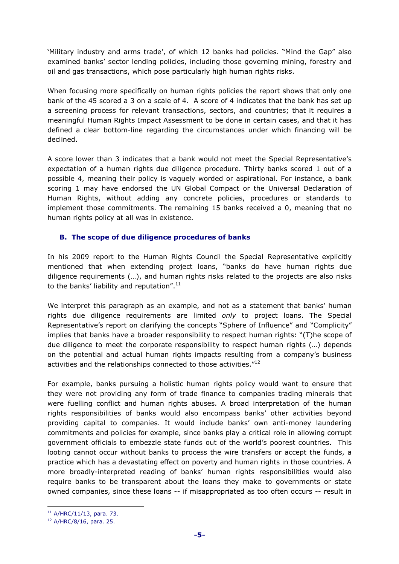'Military industry and arms trade', of which 12 banks had policies. "Mind the Gap" also examined banks' sector lending policies, including those governing mining, forestry and oil and gas transactions, which pose particularly high human rights risks.

When focusing more specifically on human rights policies the report shows that only one bank of the 45 scored a 3 on a scale of 4. A score of 4 indicates that the bank has set up a screening process for relevant transactions, sectors, and countries; that it requires a meaningful Human Rights Impact Assessment to be done in certain cases, and that it has defined a clear bottom-line regarding the circumstances under which financing will be declined.

A score lower than 3 indicates that a bank would not meet the Special Representative's expectation of a human rights due diligence procedure. Thirty banks scored 1 out of a possible 4, meaning their policy is vaguely worded or aspirational. For instance, a bank scoring 1 may have endorsed the UN Global Compact or the Universal Declaration of Human Rights, without adding any concrete policies, procedures or standards to implement those commitments. The remaining 15 banks received a 0, meaning that no human rights policy at all was in existence.

#### **B. The scope of due diligence procedures of banks**

In his 2009 report to the Human Rights Council the Special Representative explicitly mentioned that when extending project loans, "banks do have human rights due diligence requirements (…), and human rights risks related to the projects are also risks to the banks' liability and reputation". $^{11}$ 

We interpret this paragraph as an example, and not as a statement that banks' human rights due diligence requirements are limited *only* to project loans. The Special Representative's report on clarifying the concepts "Sphere of Influence" and "Complicity" implies that banks have a broader responsibility to respect human rights: "(T)he scope of due diligence to meet the corporate responsibility to respect human rights (…) depends on the potential and actual human rights impacts resulting from a company's business activities and the relationships connected to those activities."<sup>12</sup>

For example, banks pursuing a holistic human rights policy would want to ensure that they were not providing any form of trade finance to companies trading minerals that were fuelling conflict and human rights abuses. A broad interpretation of the human rights responsibilities of banks would also encompass banks' other activities beyond providing capital to companies. It would include banks' own anti-money laundering commitments and policies for example, since banks play a critical role in allowing corrupt government officials to embezzle state funds out of the world's poorest countries. This looting cannot occur without banks to process the wire transfers or accept the funds, a practice which has a devastating effect on poverty and human rights in those countries. A more broadly-interpreted reading of banks' human rights responsibilities would also require banks to be transparent about the loans they make to governments or state owned companies, since these loans -- if misappropriated as too often occurs -- result in

 $\overline{a}$ 

<sup>11</sup> A/HRC/11/13, para. 73.

<sup>12</sup> A/HRC/8/16, para. 25.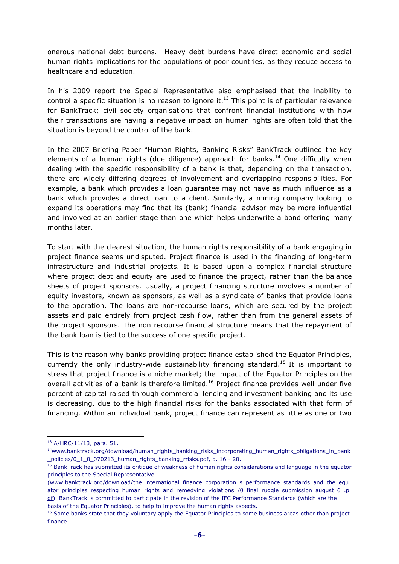onerous national debt burdens. Heavy debt burdens have direct economic and social human rights implications for the populations of poor countries, as they reduce access to healthcare and education.

In his 2009 report the Special Representative also emphasised that the inability to control a specific situation is no reason to ignore it.<sup>13</sup> This point is of particular relevance for BankTrack; civil society organisations that confront financial institutions with how their transactions are having a negative impact on human rights are often told that the situation is beyond the control of the bank.

In the 2007 Briefing Paper "Human Rights, Banking Risks" BankTrack outlined the key elements of a human rights (due diligence) approach for banks.<sup>14</sup> One difficulty when dealing with the specific responsibility of a bank is that, depending on the transaction, there are widely differing degrees of involvement and overlapping responsibilities. For example, a bank which provides a loan guarantee may not have as much influence as a bank which provides a direct loan to a client. Similarly, a mining company looking to expand its operations may find that its (bank) financial advisor may be more influential and involved at an earlier stage than one which helps underwrite a bond offering many months later.

To start with the clearest situation, the human rights responsibility of a bank engaging in project finance seems undisputed. Project finance is used in the financing of long-term infrastructure and industrial projects. It is based upon a complex financial structure where project debt and equity are used to finance the project, rather than the balance sheets of project sponsors. Usually, a project financing structure involves a number of equity investors, known as sponsors, as well as a syndicate of banks that provide loans to the operation. The loans are non-recourse loans, which are secured by the project assets and paid entirely from project cash flow, rather than from the general assets of the project sponsors. The non recourse financial structure means that the repayment of the bank loan is tied to the success of one specific project.

This is the reason why banks providing project finance established the Equator Principles, currently the only industry-wide sustainability financing standard.<sup>15</sup> It is important to stress that project finance is a niche market; the impact of the Equator Principles on the overall activities of a bank is therefore limited.<sup>16</sup> Project finance provides well under five percent of capital raised through commercial lending and investment banking and its use is decreasing, due to the high financial risks for the banks associated with that form of financing. Within an individual bank, project finance can represent as little as one or two

<sup>13</sup> A/HRC/11/13, para. 51.

 $14$ www.banktrack.org/download/human\_rights\_banking\_risks\_incorporating\_human\_rights\_obligations\_in\_bank policies/0\_1\_0\_070213\_human\_rights\_banking\_rrisks.pdf, p. 16 - 20.

<sup>&</sup>lt;sup>15</sup> BankTrack has submitted its critique of weakness of human rights considarations and language in the equator principles to the Special Representative

<sup>(</sup>www.banktrack.org/download/the\_international\_finance\_corporation\_s\_performance\_standards\_and\_the\_equ ator\_principles\_respecting\_human\_rights\_and\_remedying\_violations\_/0\_final\_ruggie\_submission\_august\_6\_.p df). BankTrack is committed to participate in the revision of the IFC Performance Standards (which are the basis of the Equator Principles), to help to improve the human rights aspects.

<sup>&</sup>lt;sup>16</sup> Some banks state that they voluntary apply the Equator Principles to some business areas other than project finance.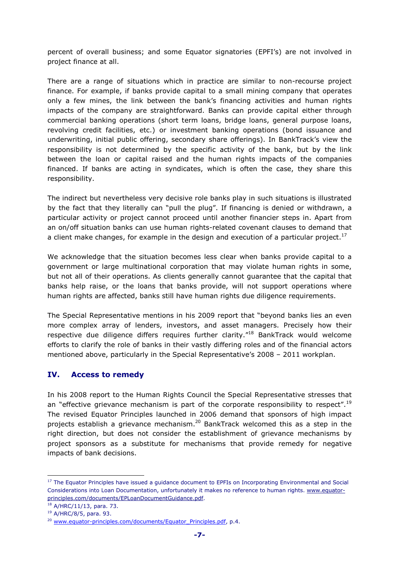percent of overall business; and some Equator signatories (EPFI's) are not involved in project finance at all.

There are a range of situations which in practice are similar to non-recourse project finance. For example, if banks provide capital to a small mining company that operates only a few mines, the link between the bank's financing activities and human rights impacts of the company are straightforward. Banks can provide capital either through commercial banking operations (short term loans, bridge loans, general purpose loans, revolving credit facilities, etc.) or investment banking operations (bond issuance and underwriting, initial public offering, secondary share offerings). In BankTrack's view the responsibility is not determined by the specific activity of the bank, but by the link between the loan or capital raised and the human rights impacts of the companies financed. If banks are acting in syndicates, which is often the case, they share this responsibility.

The indirect but nevertheless very decisive role banks play in such situations is illustrated by the fact that they literally can "pull the plug". If financing is denied or withdrawn, a particular activity or project cannot proceed until another financier steps in. Apart from an on/off situation banks can use human rights-related covenant clauses to demand that a client make changes, for example in the design and execution of a particular project.<sup>17</sup>

We acknowledge that the situation becomes less clear when banks provide capital to a government or large multinational corporation that may violate human rights in some, but not all of their operations. As clients generally cannot guarantee that the capital that banks help raise, or the loans that banks provide, will not support operations where human rights are affected, banks still have human rights due diligence requirements.

The Special Representative mentions in his 2009 report that "beyond banks lies an even more complex array of lenders, investors, and asset managers. Precisely how their respective due diligence differs requires further clarity."<sup>18</sup> BankTrack would welcome efforts to clarify the role of banks in their vastly differing roles and of the financial actors mentioned above, particularly in the Special Representative's 2008 – 2011 workplan.

## **IV. Access to remedy**

In his 2008 report to the Human Rights Council the Special Representative stresses that an "effective grievance mechanism is part of the corporate responsibility to respect".<sup>19</sup> The revised Equator Principles launched in 2006 demand that sponsors of high impact projects establish a grievance mechanism.<sup>20</sup> BankTrack welcomed this as a step in the right direction, but does not consider the establishment of grievance mechanisms by project sponsors as a substitute for mechanisms that provide remedy for negative impacts of bank decisions.

<sup>&</sup>lt;sup>17</sup> The Equator Principles have issued a guidance document to EPFIs on Incorporating Environmental and Social Considerations into Loan Documentation, unfortunately it makes no reference to human rights. www.equatorprinciples.com/documents/EPLoanDocumentGuidance.pdf.

<sup>18</sup> A/HRC/11/13, para. 73.

<sup>19</sup> A/HRC/8/5, para. 93.

<sup>&</sup>lt;sup>20</sup> www.equator-principles.com/documents/Equator\_Principles.pdf, p.4.